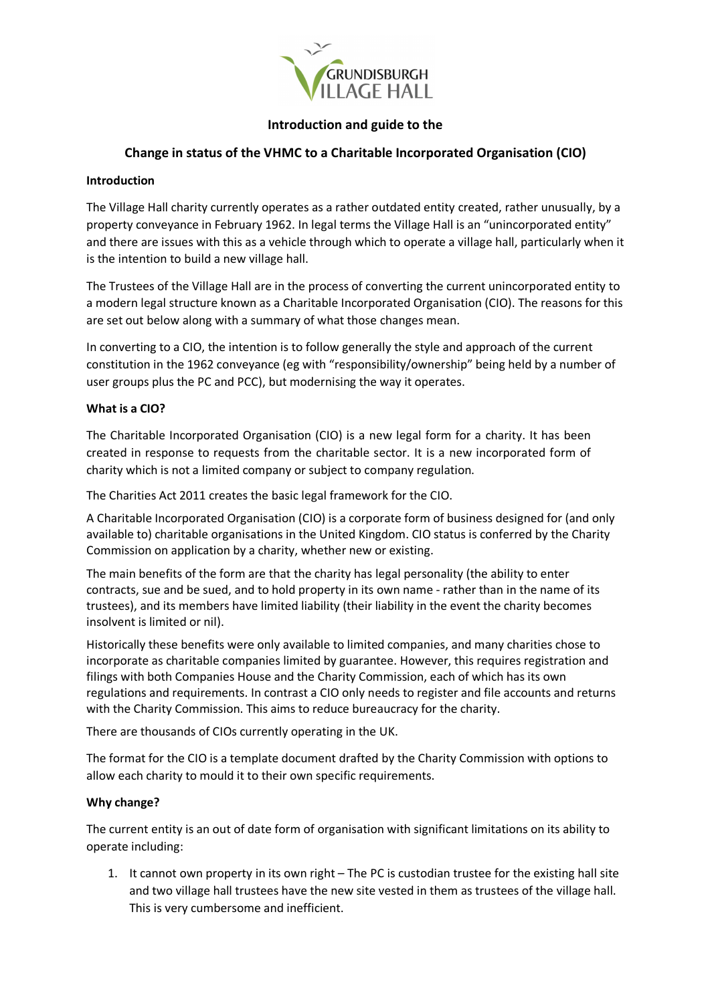

### **Introduction and guide to the**

# **Change in status of the VHMC to a Charitable Incorporated Organisation (CIO)**

### **Introduction**

The Village Hall charity currently operates as a rather outdated entity created, rather unusually, by a property conveyance in February 1962. In legal terms the Village Hall is an "unincorporated entity" and there are issues with this as a vehicle through which to operate a village hall, particularly when it is the intention to build a new village hall.

The Trustees of the Village Hall are in the process of converting the current unincorporated entity to a modern legal structure known as a Charitable Incorporated Organisation (CIO). The reasons for this are set out below along with a summary of what those changes mean.

In converting to a CIO, the intention is to follow generally the style and approach of the current constitution in the 1962 conveyance (eg with "responsibility/ownership" being held by a number of user groups plus the PC and PCC), but modernising the way it operates.

### **What is a CIO?**

The Charitable Incorporated Organisation (CIO) is a new legal form for a charity. It has been created in response to requests from the charitable sector. It is a new incorporated form of charity which is not a limited company or subject to company regulation.

The Charities Act 2011 creates the basic legal framework for the CIO.

A Charitable Incorporated Organisation (CIO) is a corporate form of business designed for (and only available to) charitable organisations in the United Kingdom. CIO status is conferred by the Charity Commission on application by a charity, whether new or existing.

The main benefits of the form are that the charity has legal personality (the ability to enter contracts, sue and be sued, and to hold property in its own name - rather than in the name of its trustees), and its members have limited liability (their liability in the event the charity becomes insolvent is limited or nil).

Historically these benefits were only available to limited companies, and many charities chose to incorporate as charitable companies limited by guarantee. However, this requires registration and filings with both Companies House and the Charity Commission, each of which has its own regulations and requirements. In contrast a CIO only needs to register and file accounts and returns with the Charity Commission. This aims to reduce bureaucracy for the charity.

There are thousands of CIOs currently operating in the UK.

The format for the CIO is a template document drafted by the Charity Commission with options to allow each charity to mould it to their own specific requirements.

#### **Why change?**

The current entity is an out of date form of organisation with significant limitations on its ability to operate including:

1. It cannot own property in its own right – The PC is custodian trustee for the existing hall site and two village hall trustees have the new site vested in them as trustees of the village hall. This is very cumbersome and inefficient.